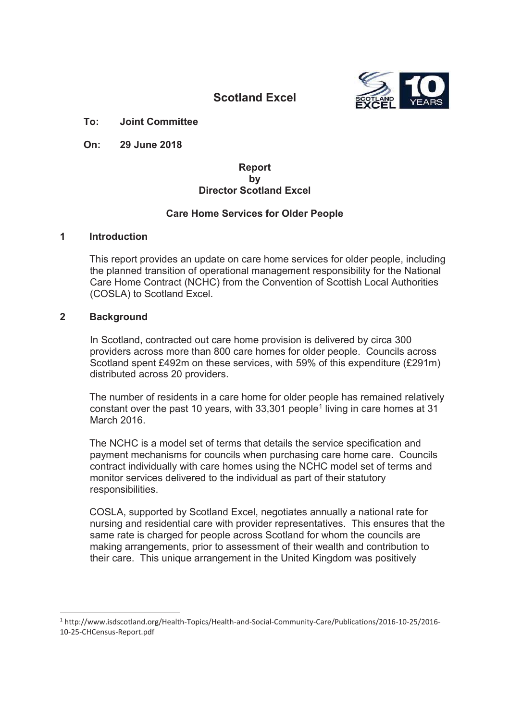

# **Scotland Excel**

**To: Joint Committee**

**On: 29 June 2018**

#### **Report by Director Scotland Excel**

#### **Care Home Services for Older People**

#### **1 Introduction**

This report provides an update on care home services for older people, including the planned transition of operational management responsibility for the National Care Home Contract (NCHC) from the Convention of Scottish Local Authorities (COSLA) to Scotland Excel.

#### **2 Background**

In Scotland, contracted out care home provision is delivered by circa 300 providers across more than 800 care homes for older people. Councils across Scotland spent £492m on these services, with 59% of this expenditure (£291m) distributed across 20 providers.

The number of residents in a care home for older people has remained relatively constant over the past 10 years, with  $33,301$  people<sup>1</sup> living in care homes at 31 March 2016

The NCHC is a model set of terms that details the service specification and payment mechanisms for councils when purchasing care home care. Councils contract individually with care homes using the NCHC model set of terms and monitor services delivered to the individual as part of their statutory responsibilities.

COSLA, supported by Scotland Excel, negotiates annually a national rate for nursing and residential care with provider representatives. This ensures that the same rate is charged for people across Scotland for whom the councils are making arrangements, prior to assessment of their wealth and contribution to their care. This unique arrangement in the United Kingdom was positively

<sup>1</sup> http://www.isdscotland.org/Health-Topics/Health-and-Social-Community-Care/Publications/2016-10-25/2016- 10-25-CHCensus-Report.pdf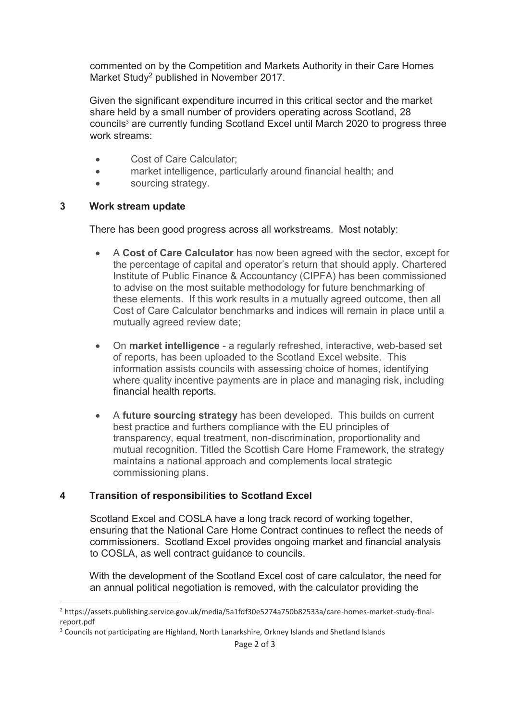commented on by the Competition and Markets Authority in their Care Homes Market Study<sup>2</sup> published in November 2017.

Given the significant expenditure incurred in this critical sector and the market share held by a small number of providers operating across Scotland, 28 councils<sup>3</sup> are currently funding Scotland Excel until March 2020 to progress three work streams:

- **•** Cost of Care Calculator:
- **•** market intelligence, particularly around financial health; and
- sourcing strategy.

#### **3 Work stream update**

<u>.</u>

There has been good progress across all workstreams. Most notably:

- **A Cost of Care Calculator** has now been agreed with the sector, except for the percentage of capital and operator's return that should apply. Chartered Institute of Public Finance & Accountancy (CIPFA) has been commissioned to advise on the most suitable methodology for future benchmarking of these elements. If this work results in a mutually agreed outcome, then all Cost of Care Calculator benchmarks and indices will remain in place until a mutually agreed review date;
- x On **market intelligence** a regularly refreshed, interactive, web-based set of reports, has been uploaded to the Scotland Excel website. This information assists councils with assessing choice of homes, identifying where quality incentive payments are in place and managing risk, including financial health reports.
- A **future sourcing strategy** has been developed. This builds on current best practice and furthers compliance with the EU principles of transparency, equal treatment, non-discrimination, proportionality and mutual recognition. Titled the Scottish Care Home Framework, the strategy maintains a national approach and complements local strategic commissioning plans.

## **4 Transition of responsibilities to Scotland Excel**

Scotland Excel and COSLA have a long track record of working together, ensuring that the National Care Home Contract continues to reflect the needs of commissioners. Scotland Excel provides ongoing market and financial analysis to COSLA, as well contract guidance to councils.

With the development of the Scotland Excel cost of care calculator, the need for an annual political negotiation is removed, with the calculator providing the

<sup>&</sup>lt;sup>2</sup> https://assets.publishing.service.gov.uk/media/5a1fdf30e5274a750b82533a/care-homes-market-study-finalreport.pdf

<sup>&</sup>lt;sup>3</sup> Councils not participating are Highland, North Lanarkshire, Orkney Islands and Shetland Islands